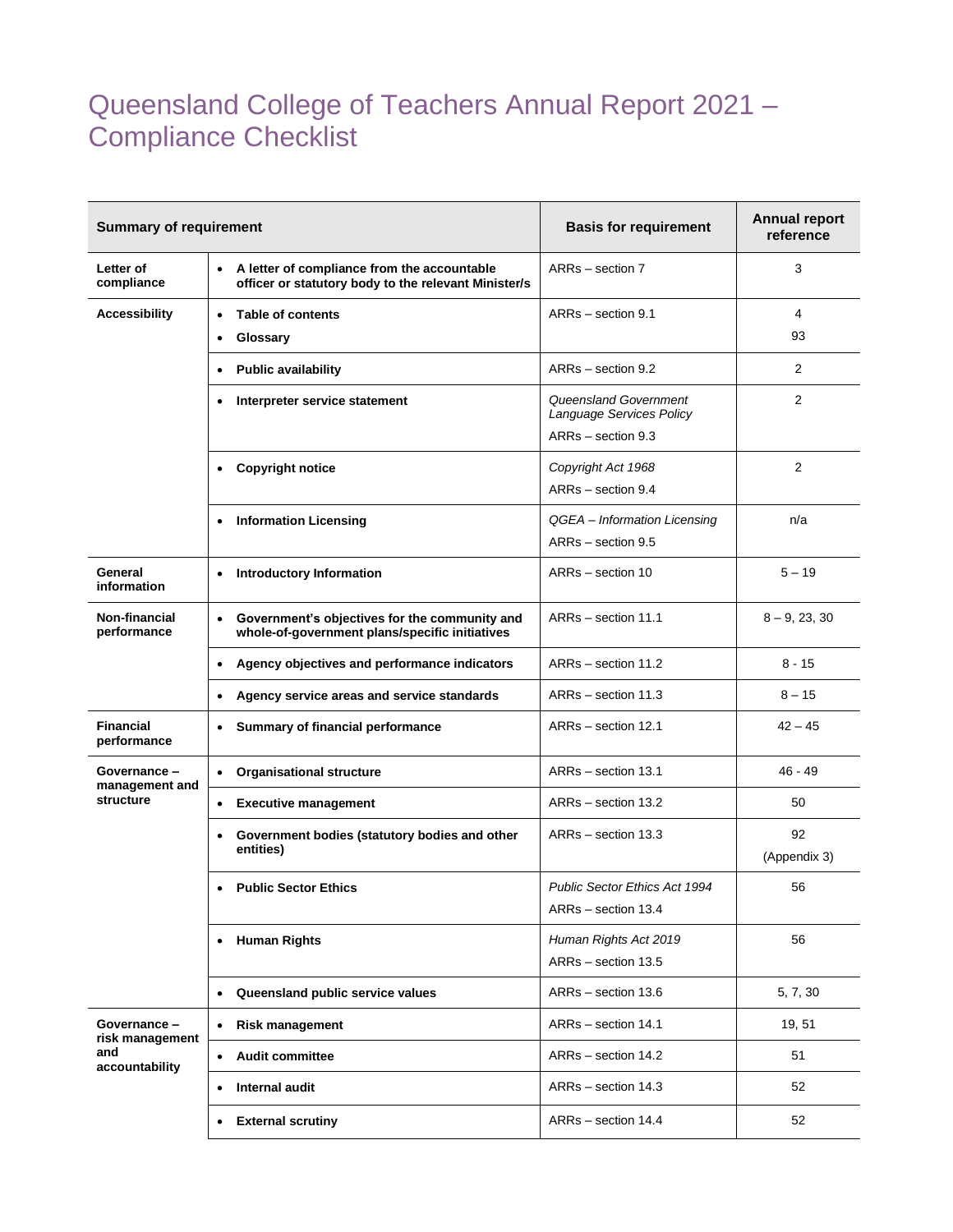## Queensland College of Teachers Annual Report 2021 – Compliance Checklist

| <b>Summary of requirement</b>                           |                                                                                                                  | <b>Basis for requirement</b>                                            | <b>Annual report</b><br>reference |
|---------------------------------------------------------|------------------------------------------------------------------------------------------------------------------|-------------------------------------------------------------------------|-----------------------------------|
| Letter of<br>compliance                                 | A letter of compliance from the accountable<br>$\bullet$<br>officer or statutory body to the relevant Minister/s | ARRs - section 7                                                        | 3                                 |
| <b>Accessibility</b>                                    | <b>Table of contents</b><br>$\bullet$<br>Glossary<br>$\bullet$                                                   | ARRs - section 9.1                                                      | 4<br>93                           |
|                                                         | <b>Public availability</b>                                                                                       | ARRs - section 9.2                                                      | 2                                 |
|                                                         | Interpreter service statement<br>٠                                                                               | Queensland Government<br>Language Services Policy<br>ARRs - section 9.3 | 2                                 |
|                                                         | <b>Copyright notice</b><br>$\bullet$                                                                             | Copyright Act 1968<br>ARRs - section 9.4                                | 2                                 |
|                                                         | <b>Information Licensing</b><br>$\bullet$                                                                        | QGEA - Information Licensing<br>ARRs - section 9.5                      | n/a                               |
| General<br>information                                  | <b>Introductory Information</b><br>$\bullet$                                                                     | ARRs - section 10                                                       | $5 - 19$                          |
| Non-financial<br>performance                            | Government's objectives for the community and<br>$\bullet$<br>whole-of-government plans/specific initiatives     | ARRs - section 11.1                                                     | $8 - 9, 23, 30$                   |
|                                                         | Agency objectives and performance indicators<br>$\bullet$                                                        | ARRs - section 11.2                                                     | $8 - 15$                          |
|                                                         | Agency service areas and service standards<br>٠                                                                  | ARRs - section 11.3                                                     | $8 - 15$                          |
| <b>Financial</b><br>performance                         | <b>Summary of financial performance</b><br>٠                                                                     | ARRs - section 12.1                                                     | $42 - 45$                         |
| Governance -<br>management and<br>structure             | <b>Organisational structure</b><br>٠                                                                             | ARRs - section 13.1                                                     | $46 - 49$                         |
|                                                         | <b>Executive management</b><br>$\bullet$                                                                         | ARRs - section 13.2                                                     | 50                                |
|                                                         | Government bodies (statutory bodies and other<br>٠<br>entities)                                                  | ARRs - section 13.3                                                     | 92<br>(Appendix 3)                |
|                                                         | <b>Public Sector Ethics</b>                                                                                      | <b>Public Sector Ethics Act 1994</b><br>ARRs - section 13.4             | 56                                |
|                                                         | • Human Rights                                                                                                   | Human Rights Act 2019<br>ARRs - section 13.5                            | 56                                |
|                                                         | Queensland public service values<br>$\bullet$                                                                    | ARRs - section 13.6                                                     | 5, 7, 30                          |
| Governance-<br>risk management<br>and<br>accountability | <b>Risk management</b><br>$\bullet$                                                                              | ARRs - section 14.1                                                     | 19, 51                            |
|                                                         | <b>Audit committee</b><br>$\bullet$                                                                              | ARRs - section 14.2                                                     | 51                                |
|                                                         | <b>Internal audit</b><br>$\bullet$                                                                               | ARRs - section 14.3                                                     | 52                                |
|                                                         | <b>External scrutiny</b><br>$\bullet$                                                                            | ARRs - section 14.4                                                     | 52                                |